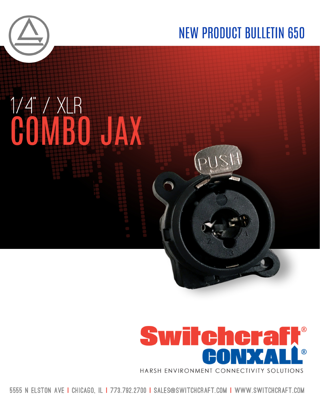

# **NEW PRODUCT BULLETIN 650**





5555 N ELSTON AVE I CHICAGO. IL I 773.792.2700 I SALES@SWITCHCRAFT.COM I WWW.SWITCHCRAFT.COM